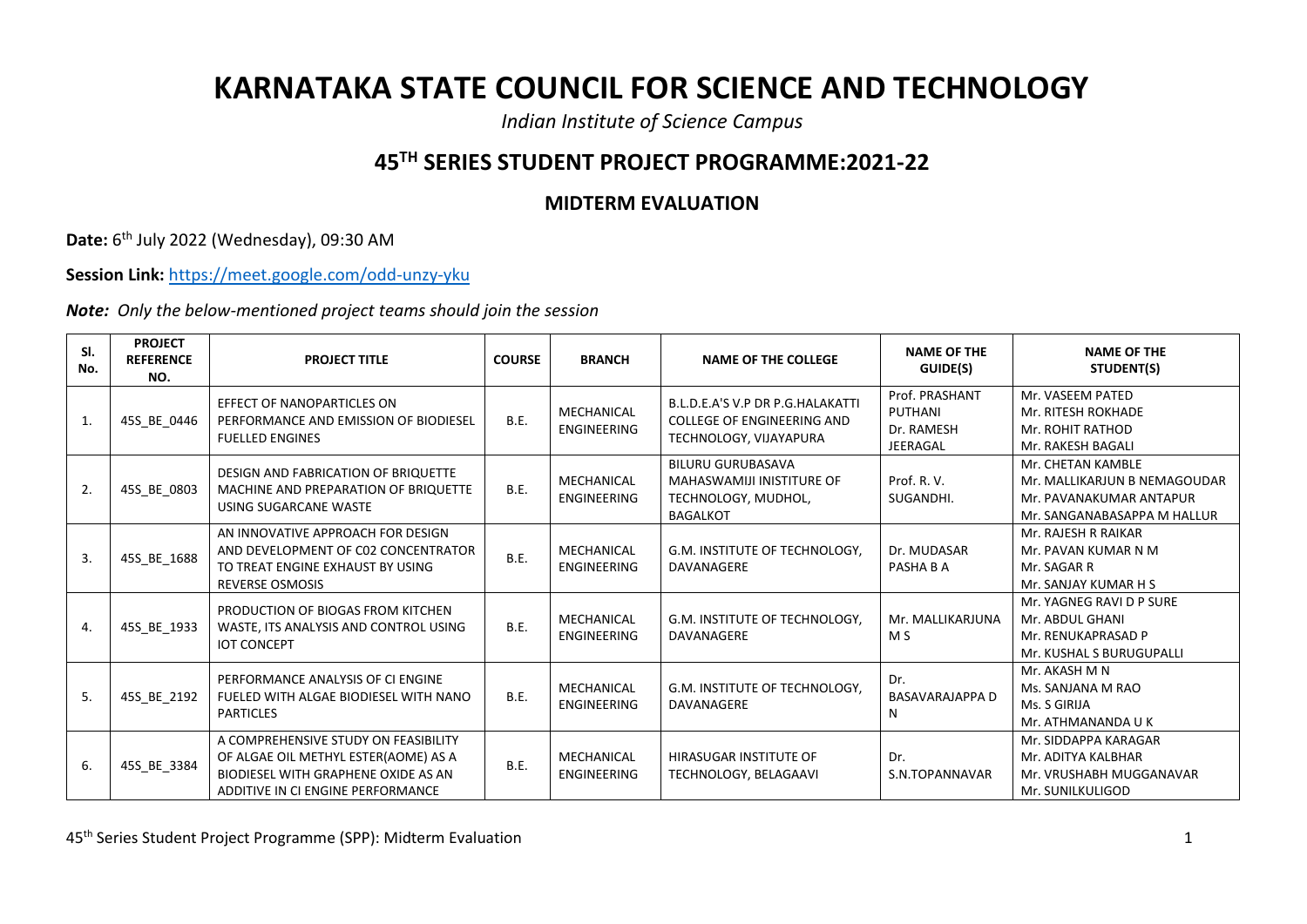## **KARNATAKA STATE COUNCIL FOR SCIENCE AND TECHNOLOGY**

*Indian Institute of Science Campus*

## **45TH SERIES STUDENT PROJECT PROGRAMME:2021-22**

## **MIDTERM EVALUATION**

**Date:** 6<sup>th</sup> July 2022 (Wednesday), 09:30 AM

**Session Link:** <https://meet.google.com/odd-unzy-yku>

*Note: Only the below-mentioned project teams should join the session*

| SI.<br>No. | <b>PROJECT</b><br><b>REFERENCE</b><br>NO. | <b>PROJECT TITLE</b>                                                                                                                                     | <b>COURSE</b> | <b>BRANCH</b>                    | <b>NAME OF THE COLLEGE</b>                                                                      | <b>NAME OF THE</b><br>GUIDE(S)                             | <b>NAME OF THE</b><br>STUDENT(S)                                                                            |
|------------|-------------------------------------------|----------------------------------------------------------------------------------------------------------------------------------------------------------|---------------|----------------------------------|-------------------------------------------------------------------------------------------------|------------------------------------------------------------|-------------------------------------------------------------------------------------------------------------|
| 1.         | 45S BE 0446                               | EFFECT OF NANOPARTICLES ON<br>PERFORMANCE AND EMISSION OF BIODIESEL<br><b>FUELLED ENGINES</b>                                                            | <b>B.E.</b>   | MECHANICAL<br><b>ENGINEERING</b> | B.L.D.E.A'S V.P DR P.G.HALAKATTI<br><b>COLLEGE OF ENGINEERING AND</b><br>TECHNOLOGY, VIJAYAPURA | Prof. PRASHANT<br>PUTHANI<br>Dr. RAMESH<br><b>JEERAGAL</b> | Mr. VASEEM PATED<br>Mr. RITESH ROKHADE<br>Mr. ROHIT RATHOD<br>Mr. RAKESH BAGALI                             |
| 2.         | 45S_BE_0803                               | <b>DESIGN AND FABRICATION OF BRIQUETTE</b><br>MACHINE AND PREPARATION OF BRIQUETTE<br>USING SUGARCANE WASTE                                              | B.E.          | MECHANICAL<br><b>ENGINEERING</b> | <b>BILURU GURUBASAVA</b><br>MAHASWAMIJI INISTITURE OF<br>TECHNOLOGY, MUDHOL,<br><b>BAGALKOT</b> | Prof. R. V.<br>SUGANDHI.                                   | Mr. CHETAN KAMBLE<br>Mr. MALLIKARJUN B NEMAGOUDAR<br>Mr. PAVANAKUMAR ANTAPUR<br>Mr. SANGANABASAPPA M HALLUR |
| 3.         | 45S_BE_1688                               | AN INNOVATIVE APPROACH FOR DESIGN<br>AND DEVELOPMENT OF C02 CONCENTRATOR<br>TO TREAT ENGINE EXHAUST BY USING<br><b>REVERSE OSMOSIS</b>                   | B.E.          | MECHANICAL<br><b>ENGINEERING</b> | G.M. INSTITUTE OF TECHNOLOGY,<br>DAVANAGERE                                                     | Dr. MUDASAR<br>PASHA B A                                   | Mr. RAJESH R RAIKAR<br>Mr. PAVAN KUMAR N M<br>Mr. SAGAR R<br>Mr. SANJAY KUMAR H S                           |
| 4.         | 45S_BE_1933                               | PRODUCTION OF BIOGAS FROM KITCHEN<br>WASTE, ITS ANALYSIS AND CONTROL USING<br><b>IOT CONCEPT</b>                                                         | B.E.          | MECHANICAL<br><b>ENGINEERING</b> | G.M. INSTITUTE OF TECHNOLOGY.<br>DAVANAGERE                                                     | Mr. MALLIKARJUNA<br>M S                                    | Mr. YAGNEG RAVI D P SURE<br>Mr. ABDUL GHANI<br>Mr. RENUKAPRASAD P<br>Mr. KUSHAL S BURUGUPALLI               |
| 5.         | 45S BE 2192                               | PERFORMANCE ANALYSIS OF CI ENGINE<br>FUELED WITH ALGAE BIODIESEL WITH NANO<br><b>PARTICLES</b>                                                           | <b>B.E.</b>   | MECHANICAL<br><b>ENGINEERING</b> | G.M. INSTITUTE OF TECHNOLOGY.<br>DAVANAGERE                                                     | Dr.<br><b>BASAVARAJAPPA D</b><br>N                         | Mr. AKASH M N<br>Ms. SANJANA M RAO<br>Ms. S GIRIJA<br>Mr. ATHMANANDA U K                                    |
| 6.         | 45S_BE_3384                               | A COMPREHENSIVE STUDY ON FEASIBILITY<br>OF ALGAE OIL METHYL ESTER(AOME) AS A<br>BIODIESEL WITH GRAPHENE OXIDE AS AN<br>ADDITIVE IN CI ENGINE PERFORMANCE | B.E.          | MECHANICAL<br><b>ENGINEERING</b> | HIRASUGAR INSTITUTE OF<br>TECHNOLOGY, BELAGAAVI                                                 | Dr.<br>S.N.TOPANNAVAR                                      | Mr. SIDDAPPA KARAGAR<br>Mr. ADITYA KALBHAR<br>Mr. VRUSHABH MUGGANAVAR<br>Mr. SUNILKULIGOD                   |